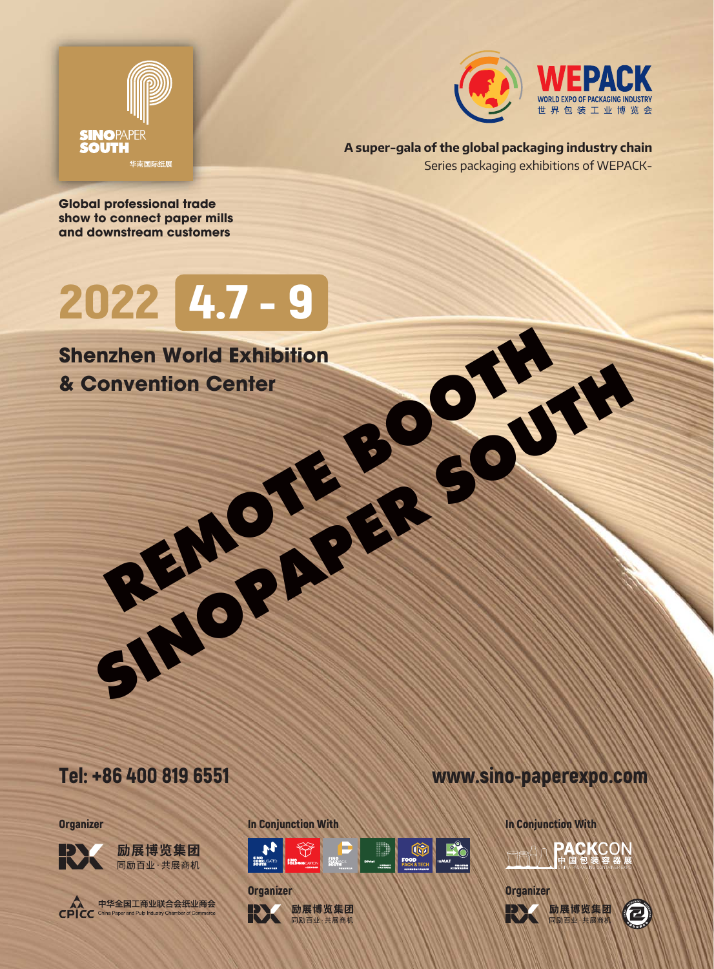



Series packaging exhibitions of WEPACK-**A super-gala of the global packaging industry chain**

**Global professional trade show to connect paper mills and downstream customers**

## 2022 4.7 - 9

# REMOTE BOOTH SINOPAPER SOUTH **Shenzhen World Exhibition & Convention Center**





**Organizer** 



励展博览集团 同励百业·共展商机



中华全国工商业联合会纸业商会

In Conjunction With

**Organizer** 



励展博览集团 同励百业·共展商机



In Conjunction With





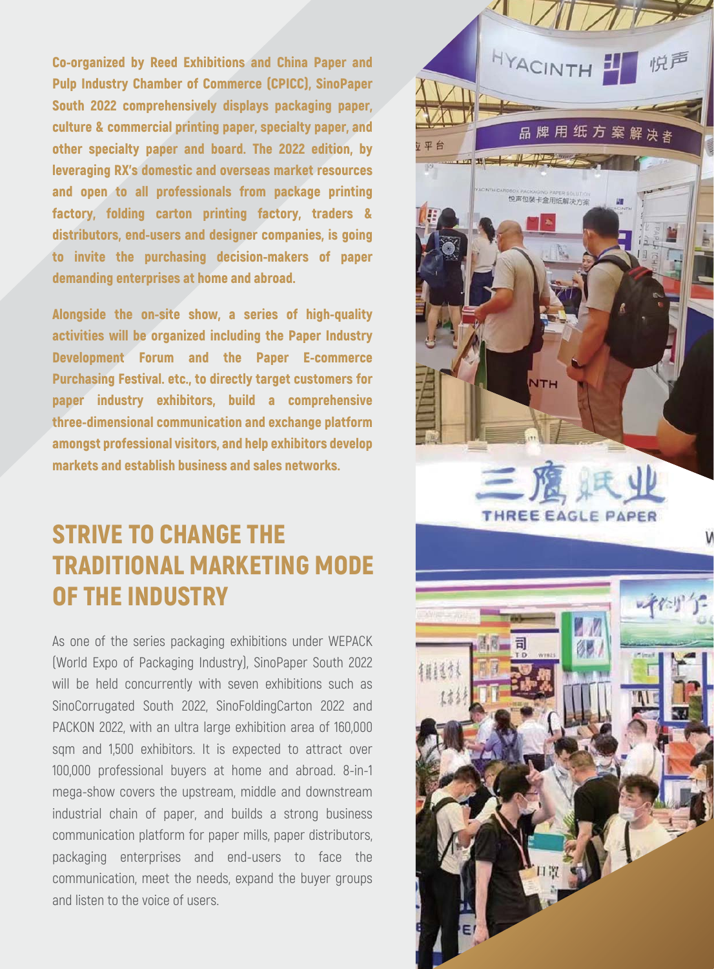Co-organized by Reed Exhibitions and China Paper and Pulp Industry Chamber of Commerce (CPICC), SinoPaper South 2022 comprehensively displays packaging paper, culture & commercial printing paper, specialty paper, and other specialty paper and board. The 2022 edition, by leveraging RX's domestic and overseas market resources and open to all professionals from package printing factory, folding carton printing factory, traders & distributors, end-users and designer companies, is going to invite the purchasing decision-makers of paper demanding enterprises at home and abroad.

Alongside the on-site show, a series of high-quality activities will be organized including the Paper Industry Development Forum and the Paper E-commerce Purchasing Festival. etc., to directly target customers for paper industry exhibitors, build a comprehensive three-dimensional communication and exchange platform amongst professional visitors, and help exhibitors develop markets and establish business and sales networks.

## STRIVE TO CHANGE THE TRADITIONAL MARKETING MODE OF THE INDUSTRY

As one of the series packaging exhibitions under WEPACK (World Expo of Packaging Industry), SinoPaper South 2022 will be held concurrently with seven exhibitions such as SinoCorrugated South 2022, SinoFoldingCarton 2022 and PACKON 2022, with an ultra large exhibition area of 160,000 sqm and 1,500 exhibitors. It is expected to attract over 100,000 professional buyers at home and abroad. 8-in-1 mega-show covers the upstream, middle and downstream industrial chain of paper, and builds a strong business communication platform for paper mills, paper distributors, packaging enterprises and end-users to face the communication, meet the needs, expand the buyer groups and listen to the voice of users.

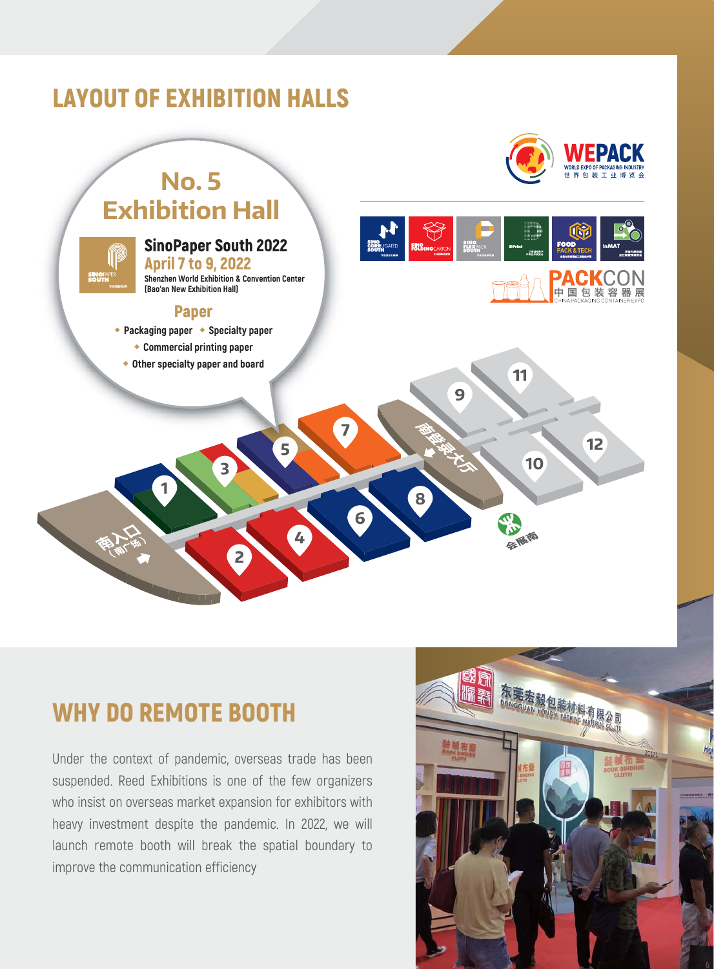## LAYOUT OF EXHIBITION HALLS



 $12$ 

## **No. 5 Exhibition Hall**



### SinoPaper South 2022

April 7 to 9, 2022 **Shenzhen World Exhibition & Convention Center (Bao'an New Exhibition Hall)**

 $\overline{\mathbf{3}}$ 

#### Paper

- ◆**Packaging paper** ◆**Specialty paper**
	- ◆**Commercial printing paper**
	- ◆**Other specialty paper and board**



11

10

态 心怪像

9

8

 $\overline{7}$ 

6

5

## WHY DO REMOTE BOOTH

Under the context of pandemic, overseas trade has been suspended. Reed Exhibitions is one of the few organizers who insist on overseas market expansion for exhibitors with heavy investment despite the pandemic. In 2022, we will launch remote booth will break the spatial boundary to improve the communication efficiency

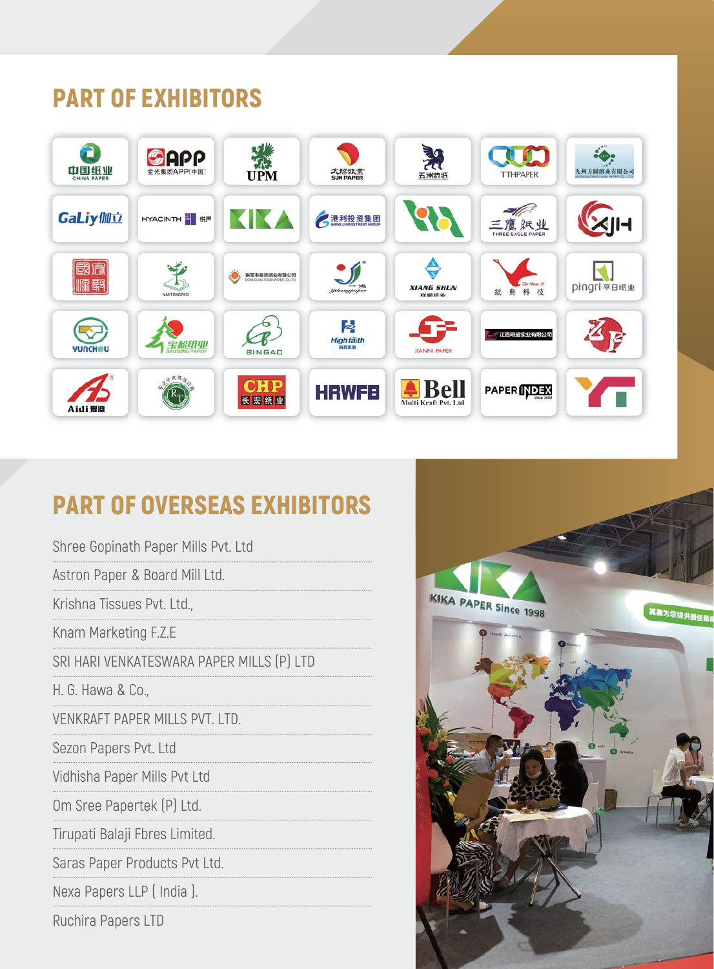## PART OF EXHIBITORS



## PART OF OVERSEAS EXHIBITORS

| Shree Gopinath Paper Mills Pvt. Ltd       |
|-------------------------------------------|
| Astron Paper & Board Mill Ltd.            |
| Krishna Tissues Pvt. Ltd.,                |
| Knam Marketing F.Z.E                      |
| SRI HARI VENKATESWARA PAPER MILLS (P) LTD |
| H. G. Hawa & Co.,                         |
| VENKRAFT PAPER MILLS PVT. LTD.            |
| Sezon Papers Pvt. Ltd                     |
| Vidhisha Paper Mills Pvt Ltd              |
| Om Sree Papertek (P) Ltd.                 |
| Tirupati Balaji Fbres Limited.            |
| Saras Paper Products Pvt Ltd.             |
| Nexa Papers LLP (India).                  |
| Ruchira Papers LTD                        |